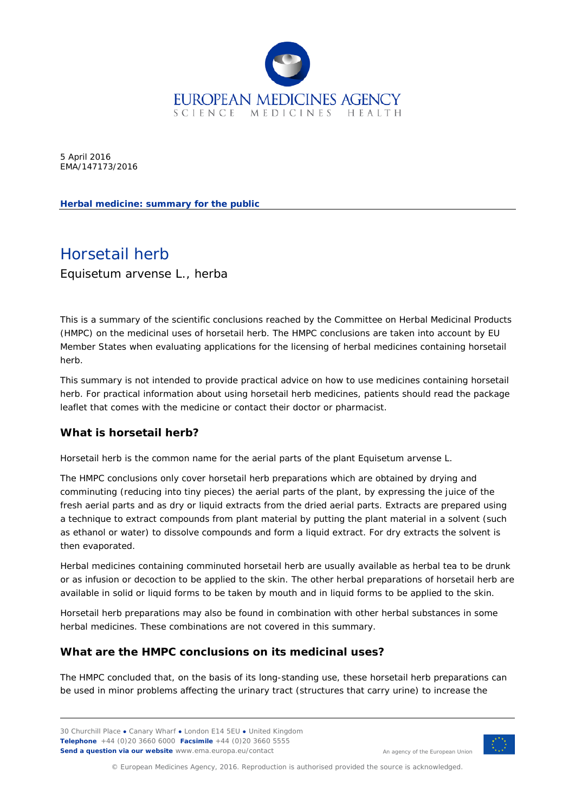

5 April 2016 EMA/147173/2016

**Herbal medicine: summary for the public**

# Horsetail herb

*Equisetum arvense* L., herba

This is a summary of the scientific conclusions reached by the Committee on Herbal Medicinal Products (HMPC) on the medicinal uses of horsetail herb. The HMPC conclusions are taken into account by EU Member States when evaluating applications for the licensing of herbal medicines containing horsetail herb.

This summary is not intended to provide practical advice on how to use medicines containing horsetail herb. For practical information about using horsetail herb medicines, patients should read the package leaflet that comes with the medicine or contact their doctor or pharmacist.

# **What is horsetail herb?**

Horsetail herb is the common name for the aerial parts of the plant *Equisetum arvense* L.

The HMPC conclusions only cover horsetail herb preparations which are obtained by drying and comminuting (reducing into tiny pieces) the aerial parts of the plant, by expressing the juice of the fresh aerial parts and as dry or liquid extracts from the dried aerial parts. Extracts are prepared using a technique to extract compounds from plant material by putting the plant material in a solvent (such as ethanol or water) to dissolve compounds and form a liquid extract. For dry extracts the solvent is then evaporated.

Herbal medicines containing comminuted horsetail herb are usually available as herbal tea to be drunk or as infusion or decoction to be applied to the skin. The other herbal preparations of horsetail herb are available in solid or liquid forms to be taken by mouth and in liquid forms to be applied to the skin.

Horsetail herb preparations may also be found in combination with other herbal substances in some herbal medicines. These combinations are not covered in this summary.

# **What are the HMPC conclusions on its medicinal uses?**

The HMPC concluded that, on the basis of its long-standing use, these horsetail herb preparations can be used in minor problems affecting the urinary tract (structures that carry urine) to increase the

30 Churchill Place **●** Canary Wharf **●** London E14 5EU **●** United Kingdom **Telephone** +44 (0)20 3660 6000 **Facsimile** +44 (0)20 3660 5555 **Send a question via our website** www.ema.europa.eu/contact



An agency of the European Union

© European Medicines Agency, 2016. Reproduction is authorised provided the source is acknowledged.